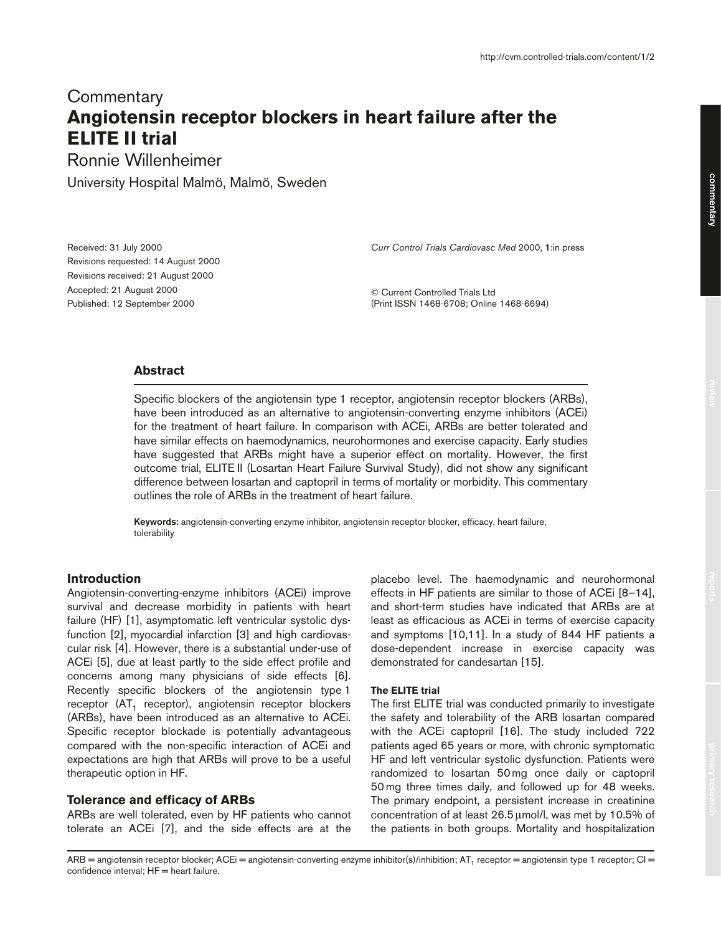# **Commentary Angiotensin receptor blockers in heart failure after the ELITE II trial**

Ronnie Willenheimer

University Hospital Malmö, Malmö, Sweden

Received: 31 July 2000 Revisions requested: 14 August 2000 Revisions received: 21 August 2000 Accepted: 21 August 2000 Published: 12 September 2000

*Curr Control Trials Cardiovasc Med* 2000, **1**:in press

© Current Controlled Trials Ltd (Print ISSN 1468-6708; Online 1468-6694)

# **Abstract**

Specific blockers of the angiotensin type 1 receptor, angiotensin receptor blockers (ARBs), have been introduced as an alternative to angiotensin-converting enzyme inhibitors (ACEi) for the treatment of heart failure. In comparison with ACEi, ARBs are better tolerated and have similar effects on haemodynamics, neurohormones and exercise capacity. Early studies have suggested that ARBs might have a superior effect on mortality. However, the first outcome trial, ELITE II (Losartan Heart Failure Survival Study), did not show any significant difference between losartan and captopril in terms of mortality or morbidity. This commentary outlines the role of ARBs in the treatment of heart failure.

**Keywords:** angiotensin-converting enzyme inhibitor, angiotensin receptor blocker, efficacy, heart failure, tolerability

# **Introduction**

Angiotensin-converting-enzyme inhibitors (ACEi) improve survival and decrease morbidity in patients with heart failure (HF) [1], asymptomatic left ventricular systolic dysfunction [2], myocardial infarction [3] and high cardiovascular risk [4]. However, there is a substantial under-use of ACEi [5], due at least partly to the side effect profile and concerns among many physicians of side effects [6]. Recently specific blockers of the angiotensin type 1 receptor  $(AT<sub>1</sub>$  receptor), angiotensin receptor blockers (ARBs), have been introduced as an alternative to ACEi. Specific receptor blockade is potentially advantageous compared with the non-specific interaction of ACEi and expectations are high that ARBs will prove to be a useful therapeutic option in HF.

### **Tolerance and efficacy of ARBs**

ARBs are well tolerated, even by HF patients who cannot tolerate an ACEi [7], and the side effects are at the placebo level. The haemodynamic and neurohormonal effects in HF patients are similar to those of ACEi [8–14], and short-term studies have indicated that ARBs are at least as efficacious as ACEi in terms of exercise capacity and symptoms [10,11]. In a study of 844 HF patients a dose-dependent increase in exercise capacity was demonstrated for candesartan [15].

# **The ELITE trial**

The first ELITE trial was conducted primarily to investigate the safety and tolerability of the ARB losartan compared with the ACEi captopril [16]. The study included 722 patients aged 65 years or more, with chronic symptomatic HF and left ventricular systolic dysfunction. Patients were randomized to losartan 50 mg once daily or captopril 50 mg three times daily, and followed up for 48 weeks. The primary endpoint, a persistent increase in creatinine concentration of at least 26.5µmol/l, was met by 10.5% of the patients in both groups. Mortality and hospitalization

 $ARB =$  angiotensin receptor blocker;  $ACE =$  angiotensin-converting enzyme inhibitor(s)/inhibition;  $AT_1$  receptor = angiotensin type 1 receptor;  $CI =$ confidence interval; HF = heart failure.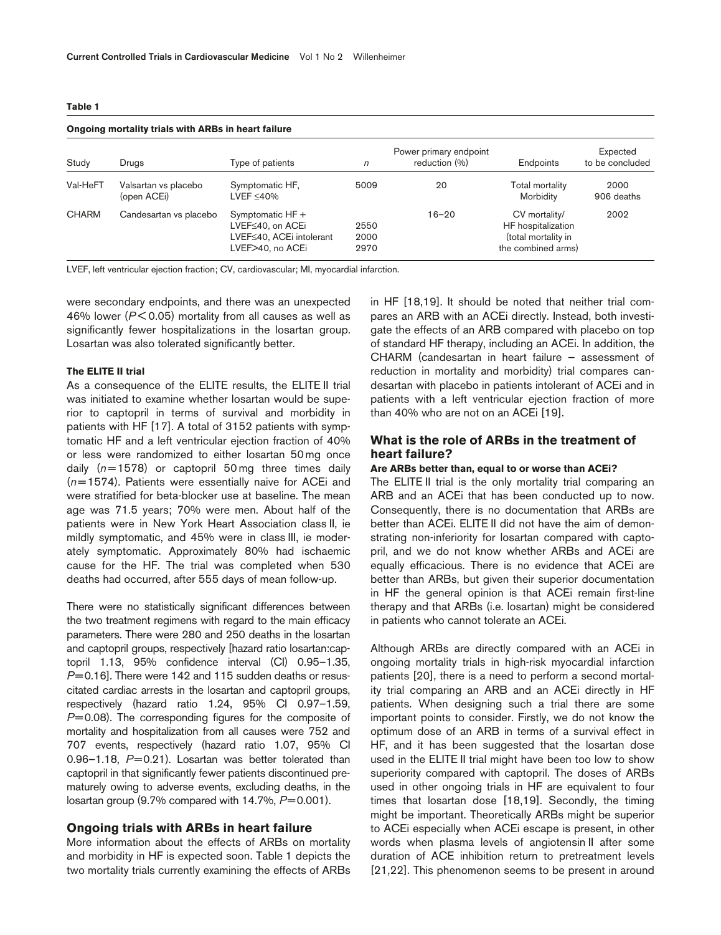| Ongoing mortality trials with ARBs in heart failure |                                     |                                                                                      |                      |                                         |                                                                                  |                             |
|-----------------------------------------------------|-------------------------------------|--------------------------------------------------------------------------------------|----------------------|-----------------------------------------|----------------------------------------------------------------------------------|-----------------------------|
| Study                                               | Drugs                               | Type of patients                                                                     | $\sqrt{n}$           | Power primary endpoint<br>reduction (%) | Endpoints                                                                        | Expected<br>to be concluded |
| Val-HeFT                                            | Valsartan vs placebo<br>(open ACEi) | Symptomatic HF,<br>LVEF ≤40%                                                         | 5009                 | 20                                      | Total mortality<br>Morbidity                                                     | 2000<br>906 deaths          |
| <b>CHARM</b>                                        | Candesartan vs placebo              | Symptomatic HF +<br>LVEF≤40, on ACEi<br>LVEF≤40, ACEi intolerant<br>LVEF>40, no ACEi | 2550<br>2000<br>2970 | $16 - 20$                               | CV mortality/<br>HF hospitalization<br>(total mortality in<br>the combined arms) | 2002                        |

**Table 1**

### LVEF, left ventricular ejection fraction; CV, cardiovascular; MI, myocardial infarction.

were secondary endpoints, and there was an unexpected 46% lower (*P* < 0.05) mortality from all causes as well as significantly fewer hospitalizations in the losartan group. Losartan was also tolerated significantly better.

#### **The ELITE II trial**

As a consequence of the ELITE results, the ELITE II trial was initiated to examine whether losartan would be superior to captopril in terms of survival and morbidity in patients with HF [17]. A total of 3152 patients with symptomatic HF and a left ventricular ejection fraction of 40% or less were randomized to either losartan 50 mg once daily (*n*= 1578) or captopril 50 mg three times daily (*n*= 1574). Patients were essentially naive for ACEi and were stratified for beta-blocker use at baseline. The mean age was 71.5 years; 70% were men. About half of the patients were in New York Heart Association class II, ie mildly symptomatic, and 45% were in class III, ie moderately symptomatic. Approximately 80% had ischaemic cause for the HF. The trial was completed when 530 deaths had occurred, after 555 days of mean follow-up.

There were no statistically significant differences between the two treatment regimens with regard to the main efficacy parameters. There were 280 and 250 deaths in the losartan and captopril groups, respectively [hazard ratio losartan:captopril 1.13, 95% confidence interval (CI) 0.95–1.35, *P*=0.16]. There were 142 and 115 sudden deaths or resuscitated cardiac arrests in the losartan and captopril groups, respectively (hazard ratio 1.24, 95% CI 0.97–1.59, *P*=0.08). The corresponding figures for the composite of mortality and hospitalization from all causes were 752 and 707 events, respectively (hazard ratio 1.07, 95% CI 0.96–1.18,  $P=0.21$ ). Losartan was better tolerated than captopril in that significantly fewer patients discontinued prematurely owing to adverse events, excluding deaths, in the losartan group  $(9.7\%$  compared with 14.7%,  $P=0.001$ ).

### **Ongoing trials with ARBs in heart failure**

More information about the effects of ARBs on mortality and morbidity in HF is expected soon. Table 1 depicts the two mortality trials currently examining the effects of ARBs in HF [18,19]. It should be noted that neither trial compares an ARB with an ACEi directly. Instead, both investigate the effects of an ARB compared with placebo on top of standard HF therapy, including an ACEi. In addition, the CHARM (candesartan in heart failure — assessment of reduction in mortality and morbidity) trial compares candesartan with placebo in patients intolerant of ACEi and in patients with a left ventricular ejection fraction of more than 40% who are not on an ACEi [19].

# **What is the role of ARBs in the treatment of heart failure?**

# **Are ARBs better than, equal to or worse than ACEi?**

The ELITE II trial is the only mortality trial comparing an ARB and an ACEi that has been conducted up to now. Consequently, there is no documentation that ARBs are better than ACEi. ELITE II did not have the aim of demonstrating non-inferiority for losartan compared with captopril, and we do not know whether ARBs and ACEi are equally efficacious. There is no evidence that ACEi are better than ARBs, but given their superior documentation in HF the general opinion is that ACEi remain first-line therapy and that ARBs (i.e. losartan) might be considered in patients who cannot tolerate an ACEi.

Although ARBs are directly compared with an ACEi in ongoing mortality trials in high-risk myocardial infarction patients [20], there is a need to perform a second mortality trial comparing an ARB and an ACEi directly in HF patients. When designing such a trial there are some important points to consider. Firstly, we do not know the optimum dose of an ARB in terms of a survival effect in HF, and it has been suggested that the losartan dose used in the ELITE II trial might have been too low to show superiority compared with captopril. The doses of ARBs used in other ongoing trials in HF are equivalent to four times that losartan dose [18,19]. Secondly, the timing might be important. Theoretically ARBs might be superior to ACEi especially when ACEi escape is present, in other words when plasma levels of angiotensin II after some duration of ACE inhibition return to pretreatment levels [21,22]. This phenomenon seems to be present in around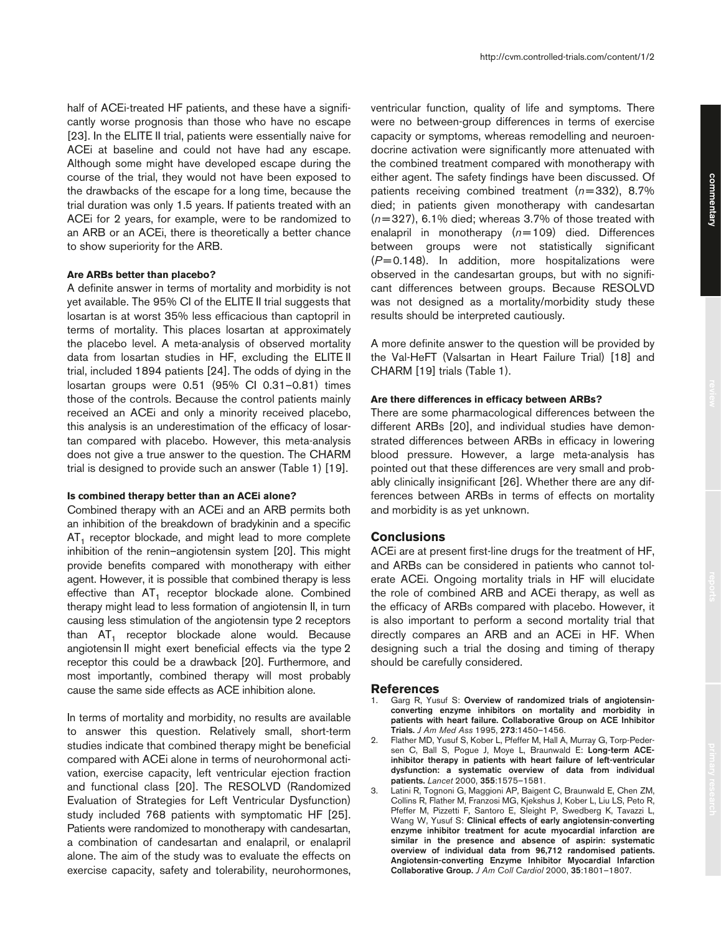half of ACEi-treated HF patients, and these have a significantly worse prognosis than those who have no escape [23]. In the ELITE II trial, patients were essentially naive for ACEi at baseline and could not have had any escape. Although some might have developed escape during the course of the trial, they would not have been exposed to the drawbacks of the escape for a long time, because the trial duration was only 1.5 years. If patients treated with an ACEi for 2 years, for example, were to be randomized to an ARB or an ACEi, there is theoretically a better chance to show superiority for the ARB.

# **Are ARBs better than placebo?**

A definite answer in terms of mortality and morbidity is not yet available. The 95% CI of the ELITE II trial suggests that losartan is at worst 35% less efficacious than captopril in terms of mortality. This places losartan at approximately the placebo level. A meta-analysis of observed mortality data from losartan studies in HF, excluding the ELITE II trial, included 1894 patients [24]. The odds of dying in the losartan groups were 0.51 (95% CI 0.31–0.81) times those of the controls. Because the control patients mainly received an ACEi and only a minority received placebo, this analysis is an underestimation of the efficacy of losartan compared with placebo. However, this meta-analysis does not give a true answer to the question. The CHARM trial is designed to provide such an answer (Table 1) [19].

#### **Is combined therapy better than an ACEi alone?**

Combined therapy with an ACEi and an ARB permits both an inhibition of the breakdown of bradykinin and a specific  $AT<sub>1</sub>$  receptor blockade, and might lead to more complete inhibition of the renin–angiotensin system [20]. This might provide benefits compared with monotherapy with either agent. However, it is possible that combined therapy is less effective than  $AT_1$  receptor blockade alone. Combined therapy might lead to less formation of angiotensin II, in turn causing less stimulation of the angiotensin type 2 receptors than  $AT_1$  receptor blockade alone would. Because angiotensin II might exert beneficial effects via the type 2 receptor this could be a drawback [20]. Furthermore, and most importantly, combined therapy will most probably cause the same side effects as ACE inhibition alone.

In terms of mortality and morbidity, no results are available to answer this question. Relatively small, short-term studies indicate that combined therapy might be beneficial compared with ACEi alone in terms of neurohormonal activation, exercise capacity, left ventricular ejection fraction and functional class [20]. The RESOLVD (Randomized Evaluation of Strategies for Left Ventricular Dysfunction) study included 768 patients with symptomatic HF [25]. Patients were randomized to monotherapy with candesartan, a combination of candesartan and enalapril, or enalapril alone. The aim of the study was to evaluate the effects on exercise capacity, safety and tolerability, neurohormones,

ventricular function, quality of life and symptoms. There were no between-group differences in terms of exercise capacity or symptoms, whereas remodelling and neuroendocrine activation were significantly more attenuated with the combined treatment compared with monotherapy with either agent. The safety findings have been discussed. Of patients receiving combined treatment (*n*= 332), 8.7% died; in patients given monotherapy with candesartan (*n*= 327), 6.1% died; whereas 3.7% of those treated with enalapril in monotherapy (*n*= 109) died. Differences between groups were not statistically significant (*P*= 0.148). In addition, more hospitalizations were observed in the candesartan groups, but with no significant differences between groups. Because RESOLVD was not designed as a mortality/morbidity study these results should be interpreted cautiously.

A more definite answer to the question will be provided by the Val-HeFT (Valsartan in Heart Failure Trial) [18] and CHARM [19] trials (Table 1).

#### **Are there differences in efficacy between ARBs?**

There are some pharmacological differences between the different ARBs [20], and individual studies have demonstrated differences between ARBs in efficacy in lowering blood pressure. However, a large meta-analysis has pointed out that these differences are very small and probably clinically insignificant [26]. Whether there are any differences between ARBs in terms of effects on mortality and morbidity is as yet unknown.

### **Conclusions**

ACEi are at present first-line drugs for the treatment of HF, and ARBs can be considered in patients who cannot tolerate ACEi. Ongoing mortality trials in HF will elucidate the role of combined ARB and ACEi therapy, as well as the efficacy of ARBs compared with placebo. However, it is also important to perform a second mortality trial that directly compares an ARB and an ACEi in HF. When designing such a trial the dosing and timing of therapy should be carefully considered.

#### **References**

- Garg R, Yusuf S: Overview of randomized trials of angiotensin**converting enzyme inhibitors on mortality and morbidity in patients with heart failure. Collaborative Group on ACE Inhibitor Trials.** *J Am Med Ass* 1995, **273**:1450–1456.
- 2. Flather MD, Yusuf S, Kober L, Pfeffer M, Hall A, Murray G, Torp-Pedersen C, Ball S, Pogue J, Moye L, Braunwald E: **Long-term ACEinhibitor therapy in patients with heart failure of left-ventricular dysfunction: a systematic overview of data from individual patients.** *Lancet* 2000, **355**:1575–1581.
- Latini R, Tognoni G, Maggioni AP, Baigent C, Braunwald E, Chen ZM, Collins R, Flather M, Franzosi MG, Kjekshus J, Kober L, Liu LS, Peto R, Pfeffer M, Pizzetti F, Santoro E, Sleight P, Swedberg K, Tavazzi L, Wang W, Yusuf S: **Clinical effects of early angiotensin-converting enzyme inhibitor treatment for acute myocardial infarction are similar in the presence and absence of aspirin: systematic overview of individual data from 96,712 randomised patients. Angiotensin-converting Enzyme Inhibitor Myocardial Infarction Collaborative Group.** *J Am Coll Cardiol* 2000, **35**:1801–1807.